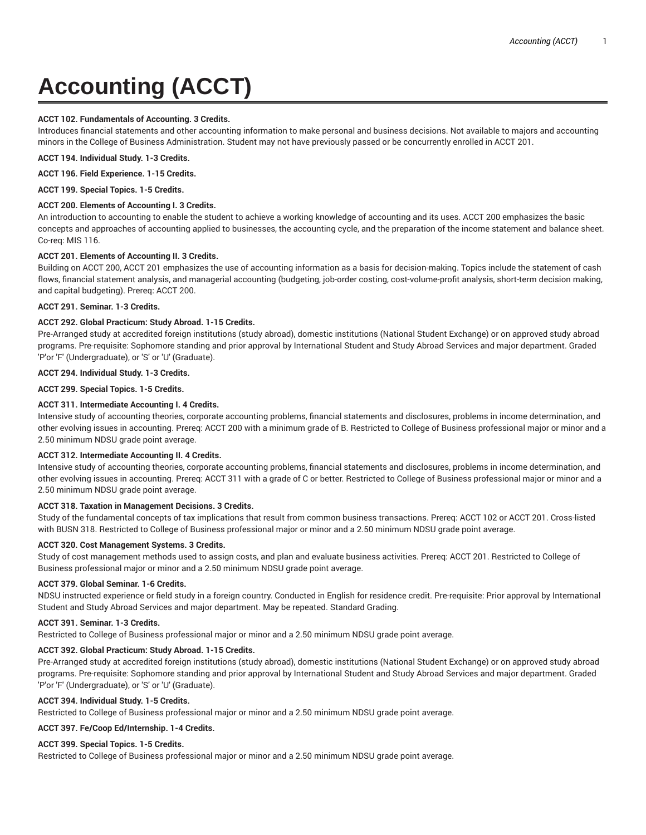# **Accounting (ACCT)**

## **ACCT 102. Fundamentals of Accounting. 3 Credits.**

Introduces financial statements and other accounting information to make personal and business decisions. Not available to majors and accounting minors in the College of Business Administration. Student may not have previously passed or be concurrently enrolled in ACCT 201.

**ACCT 194. Individual Study. 1-3 Credits.**

**ACCT 196. Field Experience. 1-15 Credits.**

**ACCT 199. Special Topics. 1-5 Credits.**

## **ACCT 200. Elements of Accounting I. 3 Credits.**

An introduction to accounting to enable the student to achieve a working knowledge of accounting and its uses. ACCT 200 emphasizes the basic concepts and approaches of accounting applied to businesses, the accounting cycle, and the preparation of the income statement and balance sheet. Co-req: MIS 116.

## **ACCT 201. Elements of Accounting II. 3 Credits.**

Building on ACCT 200, ACCT 201 emphasizes the use of accounting information as a basis for decision-making. Topics include the statement of cash flows, financial statement analysis, and managerial accounting (budgeting, job-order costing, cost-volume-profit analysis, short-term decision making, and capital budgeting). Prereq: ACCT 200.

#### **ACCT 291. Seminar. 1-3 Credits.**

## **ACCT 292. Global Practicum: Study Abroad. 1-15 Credits.**

Pre-Arranged study at accredited foreign institutions (study abroad), domestic institutions (National Student Exchange) or on approved study abroad programs. Pre-requisite: Sophomore standing and prior approval by International Student and Study Abroad Services and major department. Graded 'P'or 'F' (Undergraduate), or 'S' or 'U' (Graduate).

#### **ACCT 294. Individual Study. 1-3 Credits.**

**ACCT 299. Special Topics. 1-5 Credits.**

## **ACCT 311. Intermediate Accounting I. 4 Credits.**

Intensive study of accounting theories, corporate accounting problems, financial statements and disclosures, problems in income determination, and other evolving issues in accounting. Prereq: ACCT 200 with a minimum grade of B. Restricted to College of Business professional major or minor and a 2.50 minimum NDSU grade point average.

#### **ACCT 312. Intermediate Accounting II. 4 Credits.**

Intensive study of accounting theories, corporate accounting problems, financial statements and disclosures, problems in income determination, and other evolving issues in accounting. Prereq: ACCT 311 with a grade of C or better. Restricted to College of Business professional major or minor and a 2.50 minimum NDSU grade point average.

#### **ACCT 318. Taxation in Management Decisions. 3 Credits.**

Study of the fundamental concepts of tax implications that result from common business transactions. Prereq: ACCT 102 or ACCT 201. Cross-listed with BUSN 318. Restricted to College of Business professional major or minor and a 2.50 minimum NDSU grade point average.

#### **ACCT 320. Cost Management Systems. 3 Credits.**

Study of cost management methods used to assign costs, and plan and evaluate business activities. Prereq: ACCT 201. Restricted to College of Business professional major or minor and a 2.50 minimum NDSU grade point average.

#### **ACCT 379. Global Seminar. 1-6 Credits.**

NDSU instructed experience or field study in a foreign country. Conducted in English for residence credit. Pre-requisite: Prior approval by International Student and Study Abroad Services and major department. May be repeated. Standard Grading.

#### **ACCT 391. Seminar. 1-3 Credits.**

Restricted to College of Business professional major or minor and a 2.50 minimum NDSU grade point average.

#### **ACCT 392. Global Practicum: Study Abroad. 1-15 Credits.**

Pre-Arranged study at accredited foreign institutions (study abroad), domestic institutions (National Student Exchange) or on approved study abroad programs. Pre-requisite: Sophomore standing and prior approval by International Student and Study Abroad Services and major department. Graded 'P'or 'F' (Undergraduate), or 'S' or 'U' (Graduate).

#### **ACCT 394. Individual Study. 1-5 Credits.**

Restricted to College of Business professional major or minor and a 2.50 minimum NDSU grade point average.

#### **ACCT 397. Fe/Coop Ed/Internship. 1-4 Credits.**

#### **ACCT 399. Special Topics. 1-5 Credits.**

Restricted to College of Business professional major or minor and a 2.50 minimum NDSU grade point average.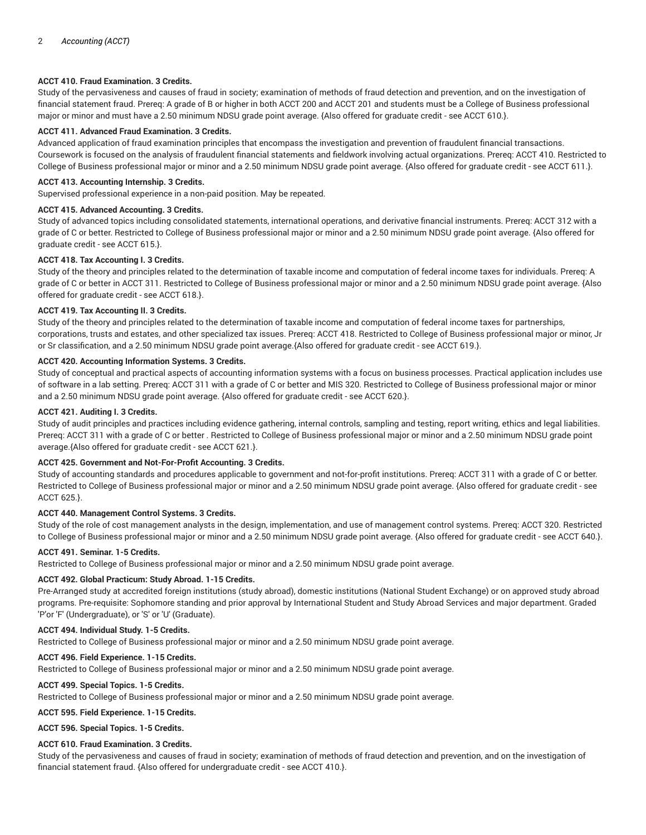## **ACCT 410. Fraud Examination. 3 Credits.**

Study of the pervasiveness and causes of fraud in society; examination of methods of fraud detection and prevention, and on the investigation of financial statement fraud. Prereq: A grade of B or higher in both ACCT 200 and ACCT 201 and students must be a College of Business professional major or minor and must have a 2.50 minimum NDSU grade point average. {Also offered for graduate credit - see ACCT 610.}.

## **ACCT 411. Advanced Fraud Examination. 3 Credits.**

Advanced application of fraud examination principles that encompass the investigation and prevention of fraudulent financial transactions. Coursework is focused on the analysis of fraudulent financial statements and fieldwork involving actual organizations. Prereq: ACCT 410. Restricted to College of Business professional major or minor and a 2.50 minimum NDSU grade point average. {Also offered for graduate credit - see ACCT 611.}.

## **ACCT 413. Accounting Internship. 3 Credits.**

Supervised professional experience in a non-paid position. May be repeated.

#### **ACCT 415. Advanced Accounting. 3 Credits.**

Study of advanced topics including consolidated statements, international operations, and derivative financial instruments. Prereq: ACCT 312 with a grade of C or better. Restricted to College of Business professional major or minor and a 2.50 minimum NDSU grade point average. {Also offered for graduate credit - see ACCT 615.}.

#### **ACCT 418. Tax Accounting I. 3 Credits.**

Study of the theory and principles related to the determination of taxable income and computation of federal income taxes for individuals. Prereq: A grade of C or better in ACCT 311. Restricted to College of Business professional major or minor and a 2.50 minimum NDSU grade point average. {Also offered for graduate credit - see ACCT 618.}.

#### **ACCT 419. Tax Accounting II. 3 Credits.**

Study of the theory and principles related to the determination of taxable income and computation of federal income taxes for partnerships, corporations, trusts and estates, and other specialized tax issues. Prereq: ACCT 418. Restricted to College of Business professional major or minor, Jr or Sr classification, and a 2.50 minimum NDSU grade point average.{Also offered for graduate credit - see ACCT 619.}.

#### **ACCT 420. Accounting Information Systems. 3 Credits.**

Study of conceptual and practical aspects of accounting information systems with a focus on business processes. Practical application includes use of software in a lab setting. Prereq: ACCT 311 with a grade of C or better and MIS 320. Restricted to College of Business professional major or minor and a 2.50 minimum NDSU grade point average. {Also offered for graduate credit - see ACCT 620.}.

#### **ACCT 421. Auditing I. 3 Credits.**

Study of audit principles and practices including evidence gathering, internal controls, sampling and testing, report writing, ethics and legal liabilities. Prereq: ACCT 311 with a grade of C or better . Restricted to College of Business professional major or minor and a 2.50 minimum NDSU grade point average.{Also offered for graduate credit - see ACCT 621.}.

# **ACCT 425. Government and Not-For-Profit Accounting. 3 Credits.**

Study of accounting standards and procedures applicable to government and not-for-profit institutions. Prereq: ACCT 311 with a grade of C or better. Restricted to College of Business professional major or minor and a 2.50 minimum NDSU grade point average. {Also offered for graduate credit - see ACCT 625.}.

#### **ACCT 440. Management Control Systems. 3 Credits.**

Study of the role of cost management analysts in the design, implementation, and use of management control systems. Prereq: ACCT 320. Restricted to College of Business professional major or minor and a 2.50 minimum NDSU grade point average. {Also offered for graduate credit - see ACCT 640.}.

#### **ACCT 491. Seminar. 1-5 Credits.**

Restricted to College of Business professional major or minor and a 2.50 minimum NDSU grade point average.

#### **ACCT 492. Global Practicum: Study Abroad. 1-15 Credits.**

Pre-Arranged study at accredited foreign institutions (study abroad), domestic institutions (National Student Exchange) or on approved study abroad programs. Pre-requisite: Sophomore standing and prior approval by International Student and Study Abroad Services and major department. Graded 'P'or 'F' (Undergraduate), or 'S' or 'U' (Graduate).

#### **ACCT 494. Individual Study. 1-5 Credits.**

Restricted to College of Business professional major or minor and a 2.50 minimum NDSU grade point average.

#### **ACCT 496. Field Experience. 1-15 Credits.**

Restricted to College of Business professional major or minor and a 2.50 minimum NDSU grade point average.

#### **ACCT 499. Special Topics. 1-5 Credits.**

Restricted to College of Business professional major or minor and a 2.50 minimum NDSU grade point average.

# **ACCT 595. Field Experience. 1-15 Credits.**

**ACCT 596. Special Topics. 1-5 Credits.**

#### **ACCT 610. Fraud Examination. 3 Credits.**

Study of the pervasiveness and causes of fraud in society; examination of methods of fraud detection and prevention, and on the investigation of financial statement fraud. {Also offered for undergraduate credit - see ACCT 410.}.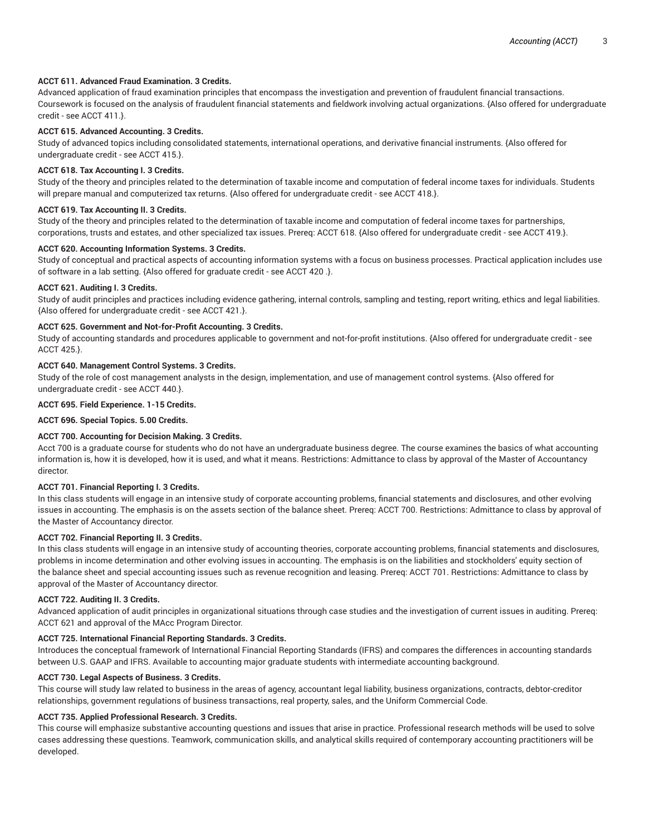## **ACCT 611. Advanced Fraud Examination. 3 Credits.**

Advanced application of fraud examination principles that encompass the investigation and prevention of fraudulent financial transactions. Coursework is focused on the analysis of fraudulent financial statements and fieldwork involving actual organizations. {Also offered for undergraduate credit - see ACCT 411.}.

#### **ACCT 615. Advanced Accounting. 3 Credits.**

Study of advanced topics including consolidated statements, international operations, and derivative financial instruments. {Also offered for undergraduate credit - see ACCT 415.}.

#### **ACCT 618. Tax Accounting I. 3 Credits.**

Study of the theory and principles related to the determination of taxable income and computation of federal income taxes for individuals. Students will prepare manual and computerized tax returns. {Also offered for undergraduate credit - see ACCT 418.}.

#### **ACCT 619. Tax Accounting II. 3 Credits.**

Study of the theory and principles related to the determination of taxable income and computation of federal income taxes for partnerships, corporations, trusts and estates, and other specialized tax issues. Prereq: ACCT 618. {Also offered for undergraduate credit - see ACCT 419.}.

#### **ACCT 620. Accounting Information Systems. 3 Credits.**

Study of conceptual and practical aspects of accounting information systems with a focus on business processes. Practical application includes use of software in a lab setting. {Also offered for graduate credit - see ACCT 420 .}.

#### **ACCT 621. Auditing I. 3 Credits.**

Study of audit principles and practices including evidence gathering, internal controls, sampling and testing, report writing, ethics and legal liabilities. {Also offered for undergraduate credit - see ACCT 421.}.

## **ACCT 625. Government and Not-for-Profit Accounting. 3 Credits.**

Study of accounting standards and procedures applicable to government and not-for-profit institutions. {Also offered for undergraduate credit - see ACCT 425.}.

#### **ACCT 640. Management Control Systems. 3 Credits.**

Study of the role of cost management analysts in the design, implementation, and use of management control systems. {Also offered for undergraduate credit - see ACCT 440.}.

# **ACCT 695. Field Experience. 1-15 Credits.**

**ACCT 696. Special Topics. 5.00 Credits.**

#### **ACCT 700. Accounting for Decision Making. 3 Credits.**

Acct 700 is a graduate course for students who do not have an undergraduate business degree. The course examines the basics of what accounting information is, how it is developed, how it is used, and what it means. Restrictions: Admittance to class by approval of the Master of Accountancy director.

#### **ACCT 701. Financial Reporting I. 3 Credits.**

In this class students will engage in an intensive study of corporate accounting problems, financial statements and disclosures, and other evolving issues in accounting. The emphasis is on the assets section of the balance sheet. Prereq: ACCT 700. Restrictions: Admittance to class by approval of the Master of Accountancy director.

## **ACCT 702. Financial Reporting II. 3 Credits.**

In this class students will engage in an intensive study of accounting theories, corporate accounting problems, financial statements and disclosures, problems in income determination and other evolving issues in accounting. The emphasis is on the liabilities and stockholders' equity section of the balance sheet and special accounting issues such as revenue recognition and leasing. Prereq: ACCT 701. Restrictions: Admittance to class by approval of the Master of Accountancy director.

#### **ACCT 722. Auditing II. 3 Credits.**

Advanced application of audit principles in organizational situations through case studies and the investigation of current issues in auditing. Prereq: ACCT 621 and approval of the MAcc Program Director.

#### **ACCT 725. International Financial Reporting Standards. 3 Credits.**

Introduces the conceptual framework of International Financial Reporting Standards (IFRS) and compares the differences in accounting standards between U.S. GAAP and IFRS. Available to accounting major graduate students with intermediate accounting background.

#### **ACCT 730. Legal Aspects of Business. 3 Credits.**

This course will study law related to business in the areas of agency, accountant legal liability, business organizations, contracts, debtor-creditor relationships, government regulations of business transactions, real property, sales, and the Uniform Commercial Code.

#### **ACCT 735. Applied Professional Research. 3 Credits.**

This course will emphasize substantive accounting questions and issues that arise in practice. Professional research methods will be used to solve cases addressing these questions. Teamwork, communication skills, and analytical skills required of contemporary accounting practitioners will be developed.